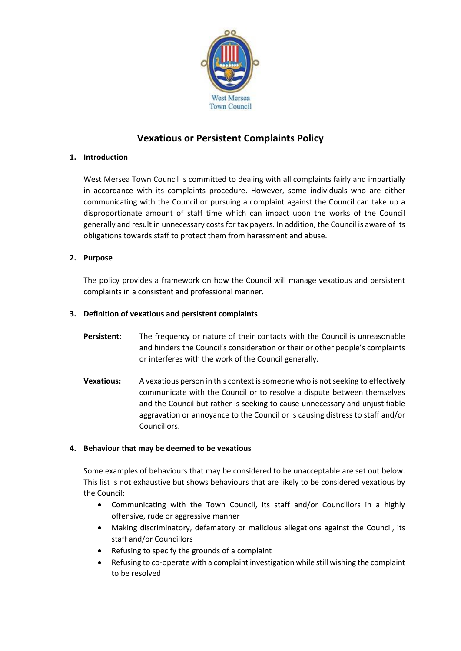

# **Vexatious or Persistent Complaints Policy**

## **1. Introduction**

West Mersea Town Council is committed to dealing with all complaints fairly and impartially in accordance with its complaints procedure. However, some individuals who are either communicating with the Council or pursuing a complaint against the Council can take up a disproportionate amount of staff time which can impact upon the works of the Council generally and result in unnecessary costs for tax payers. In addition, the Council is aware of its obligations towards staff to protect them from harassment and abuse.

## **2. Purpose**

The policy provides a framework on how the Council will manage vexatious and persistent complaints in a consistent and professional manner.

## **3. Definition of vexatious and persistent complaints**

- **Persistent**: The frequency or nature of their contacts with the Council is unreasonable and hinders the Council's consideration or their or other people's complaints or interferes with the work of the Council generally.
- **Vexatious:** A vexatious person in this context is someone who is not seeking to effectively communicate with the Council or to resolve a dispute between themselves and the Council but rather is seeking to cause unnecessary and unjustifiable aggravation or annoyance to the Council or is causing distress to staff and/or Councillors.

#### **4. Behaviour that may be deemed to be vexatious**

Some examples of behaviours that may be considered to be unacceptable are set out below. This list is not exhaustive but shows behaviours that are likely to be considered vexatious by the Council:

- Communicating with the Town Council, its staff and/or Councillors in a highly offensive, rude or aggressive manner
- Making discriminatory, defamatory or malicious allegations against the Council, its staff and/or Councillors
- Refusing to specify the grounds of a complaint
- Refusing to co-operate with a complaint investigation while still wishing the complaint to be resolved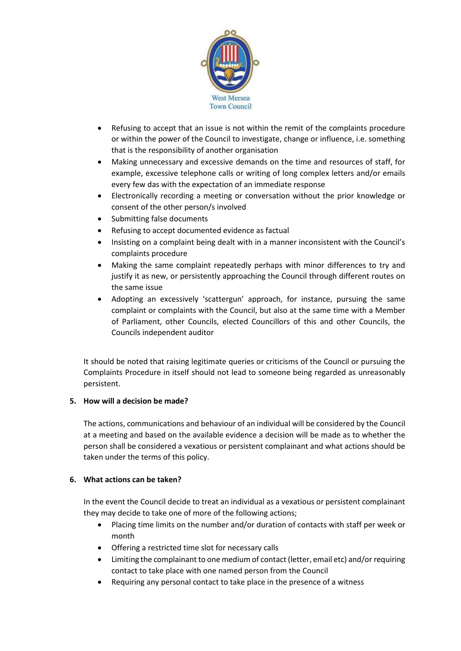

- Refusing to accept that an issue is not within the remit of the complaints procedure or within the power of the Council to investigate, change or influence, i.e. something that is the responsibility of another organisation
- Making unnecessary and excessive demands on the time and resources of staff, for example, excessive telephone calls or writing of long complex letters and/or emails every few das with the expectation of an immediate response
- Electronically recording a meeting or conversation without the prior knowledge or consent of the other person/s involved
- Submitting false documents
- Refusing to accept documented evidence as factual
- Insisting on a complaint being dealt with in a manner inconsistent with the Council's complaints procedure
- Making the same complaint repeatedly perhaps with minor differences to try and justify it as new, or persistently approaching the Council through different routes on the same issue
- Adopting an excessively 'scattergun' approach, for instance, pursuing the same complaint or complaints with the Council, but also at the same time with a Member of Parliament, other Councils, elected Councillors of this and other Councils, the Councils independent auditor

It should be noted that raising legitimate queries or criticisms of the Council or pursuing the Complaints Procedure in itself should not lead to someone being regarded as unreasonably persistent.

#### **5. How will a decision be made?**

The actions, communications and behaviour of an individual will be considered by the Council at a meeting and based on the available evidence a decision will be made as to whether the person shall be considered a vexatious or persistent complainant and what actions should be taken under the terms of this policy.

#### **6. What actions can be taken?**

In the event the Council decide to treat an individual as a vexatious or persistent complainant they may decide to take one of more of the following actions;

- Placing time limits on the number and/or duration of contacts with staff per week or month
- Offering a restricted time slot for necessary calls
- Limiting the complainant to one medium of contact (letter, email etc) and/or requiring contact to take place with one named person from the Council
- Requiring any personal contact to take place in the presence of a witness